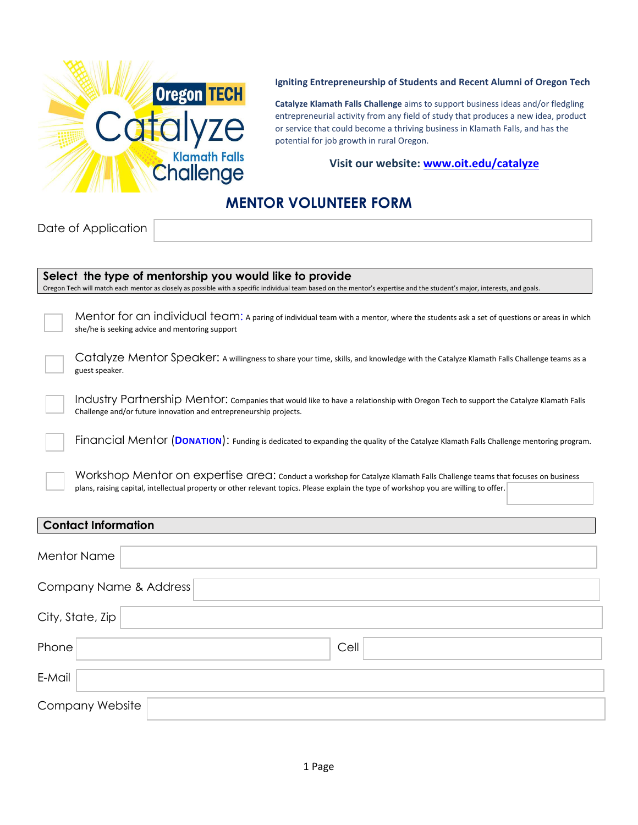

## **Igniting Entrepreneurship of Students and Recent Alumni of Oregon Tech**

**Catalyze Klamath Falls Challenge** aims to support business ideas and/or fledgling entrepreneurial activity from any field of study that produces a new idea, product or service that could become a thriving business in Klamath Falls, and has the potential for job growth in rural Oregon.

## **Visit our website: [www.oit.edu/catalyze](http://www.oit.edu/catalyze)**

## **MENTOR VOLUNTEER FORM**

Date of Application

E-Mail

Company Website

| Select the type of mentorship you would like to provide                                                                                                                                                                                                            |  |
|--------------------------------------------------------------------------------------------------------------------------------------------------------------------------------------------------------------------------------------------------------------------|--|
| Oregon Tech will match each mentor as closely as possible with a specific individual team based on the mentor's expertise and the student's major, interests, and goals.                                                                                           |  |
| Mentor for an individual team: A paring of individual team with a mentor, where the students ask a set of questions or areas in which<br>she/he is seeking advice and mentoring support                                                                            |  |
| Catalyze Mentor Speaker: A willingness to share your time, skills, and knowledge with the Catalyze Klamath Falls Challenge teams as a<br>guest speaker.                                                                                                            |  |
| Industry Partnership Mentor: companies that would like to have a relationship with Oregon Tech to support the Catalyze Klamath Falls<br>Challenge and/or future innovation and entrepreneurship projects.                                                          |  |
| Financial Mentor (DONATION): Funding is dedicated to expanding the quality of the Catalyze Klamath Falls Challenge mentoring program.                                                                                                                              |  |
| Workshop Mentor on expertise area: conduct a workshop for Catalyze Klamath Falls Challenge teams that focuses on business<br>plans, raising capital, intellectual property or other relevant topics. Please explain the type of workshop you are willing to offer. |  |
| <b>Contact Information</b>                                                                                                                                                                                                                                         |  |
| <b>Mentor Name</b>                                                                                                                                                                                                                                                 |  |
| Company Name & Address                                                                                                                                                                                                                                             |  |
| City, State, Zip                                                                                                                                                                                                                                                   |  |

Phone Cell